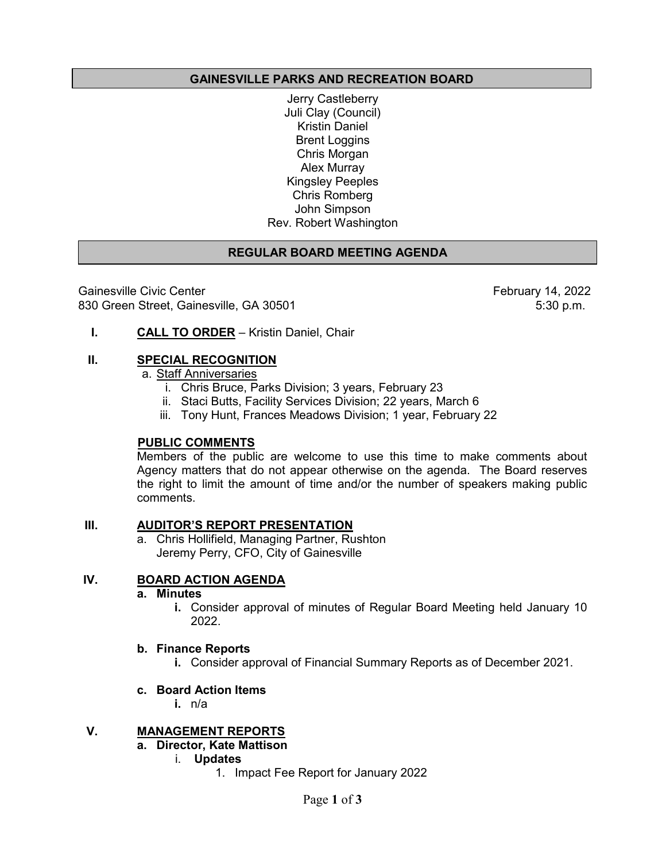## **GAINESVILLE PARKS AND RECREATION BOARD**

Jerry Castleberry Juli Clay (Council) Kristin Daniel Brent Loggins Chris Morgan Alex Murray Kingsley Peeples Chris Romberg John Simpson Rev. Robert Washington

## **REGULAR BOARD MEETING AGENDA**

Gainesville Civic Center Gainesville Civic Center<br>B30 Green Street, Gainesville, GA 30501 February 14, 2022 830 Green Street, Gainesville, GA 30501

**I. CALL TO ORDER** – Kristin Daniel, Chair

#### **II. SPECIAL RECOGNITION**

a. Staff Anniversaries

- i. Chris Bruce, Parks Division; 3 years, February 23
- ii. Staci Butts, Facility Services Division; 22 years, March 6
- iii. Tony Hunt, Frances Meadows Division; 1 year, February 22

## **PUBLIC COMMENTS**

Members of the public are welcome to use this time to make comments about Agency matters that do not appear otherwise on the agenda. The Board reserves the right to limit the amount of time and/or the number of speakers making public comments.

#### **III. AUDITOR'S REPORT PRESENTATION**

a. Chris Hollifield, Managing Partner, Rushton Jeremy Perry, CFO, City of Gainesville

## **IV. BOARD ACTION AGENDA**

#### **a. Minutes**

**i.** Consider approval of minutes of Regular Board Meeting held January 10 2022.

#### **b. Finance Reports**

**i.** Consider approval of Financial Summary Reports as of December 2021.

#### **c. Board Action Items**

**i.** n/a

## **V. MANAGEMENT REPORTS**

- **a. Director, Kate Mattison**
	- i. **Updates** 
		- 1. Impact Fee Report for January 2022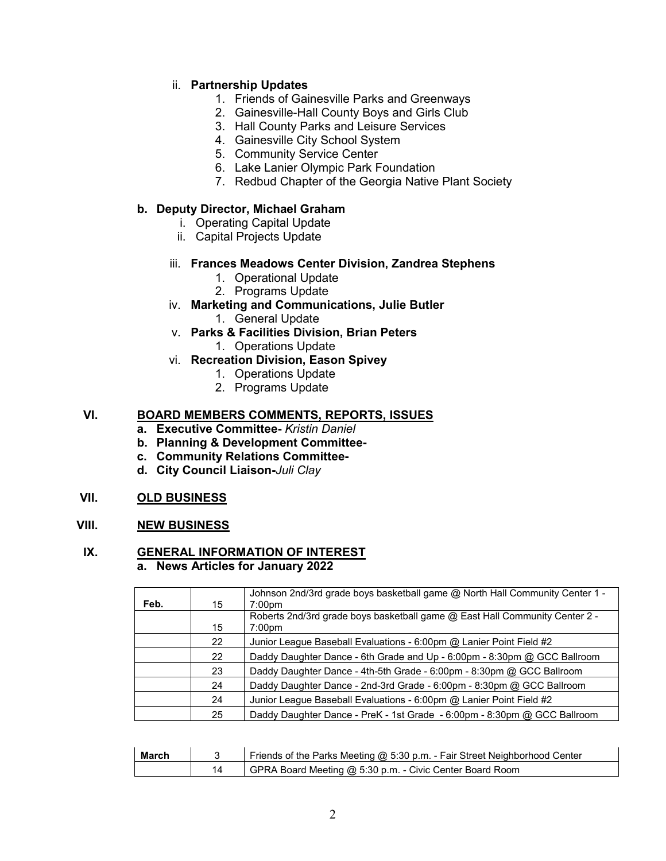## ii. **Partnership Updates**

- 1. Friends of Gainesville Parks and Greenways
- 2. Gainesville-Hall County Boys and Girls Club
- 3. Hall County Parks and Leisure Services
- 4. Gainesville City School System
- 5. Community Service Center
- 6. Lake Lanier Olympic Park Foundation
- 7. Redbud Chapter of the Georgia Native Plant Society

#### **b. Deputy Director, Michael Graham**

- i. Operating Capital Update
- ii. Capital Projects Update
- iii. **Frances Meadows Center Division, Zandrea Stephens**
	- 1. Operational Update
	- 2. Programs Update
- iv. **Marketing and Communications, Julie Butler**
	- 1. General Update
- v. **Parks & Facilities Division, Brian Peters**
	- 1. Operations Update
- vi. **Recreation Division, Eason Spivey**
	- 1. Operations Update
	- 2. Programs Update

## **VI. BOARD MEMBERS COMMENTS, REPORTS, ISSUES**

- **a. Executive Committee-** *Kristin Daniel*
- **b. Planning & Development Committee-**
- **c. Community Relations Committee-**
- **d. City Council Liaison-***Juli Clay*

#### **VII. OLD BUSINESS**

## **VIII. NEW BUSINESS**

#### **IX. GENERAL INFORMATION OF INTEREST a. News Articles for January 2022**

| Feb. | 15 | Johnson 2nd/3rd grade boys basketball game @ North Hall Community Center 1 -<br>7:00 <sub>pm</sub> |
|------|----|----------------------------------------------------------------------------------------------------|
|      |    | Roberts 2nd/3rd grade boys basketball game @ East Hall Community Center 2 -                        |
|      | 15 | 7:00 <sub>pm</sub>                                                                                 |
|      | 22 | Junior League Baseball Evaluations - 6:00pm $@$ Lanier Point Field #2                              |
|      | 22 | Daddy Daughter Dance - 6th Grade and Up - 6:00pm - 8:30pm @ GCC Ballroom                           |
|      | 23 | Daddy Daughter Dance - 4th-5th Grade - 6:00pm - 8:30pm @ GCC Ballroom                              |
|      | 24 | Daddy Daughter Dance - 2nd-3rd Grade - 6:00pm - 8:30pm @ GCC Ballroom                              |
|      | 24 | Junior League Baseball Evaluations - 6:00pm @ Lanier Point Field #2                                |
|      | 25 | Daddy Daughter Dance - PreK - 1st Grade - 6:00pm - 8:30pm @ GCC Ballroom                           |

| March | Friends of the Parks Meeting @ 5:30 p.m. - Fair Street Neighborhood Center |
|-------|----------------------------------------------------------------------------|
|       | GPRA Board Meeting @ 5:30 p.m. - Civic Center Board Room                   |